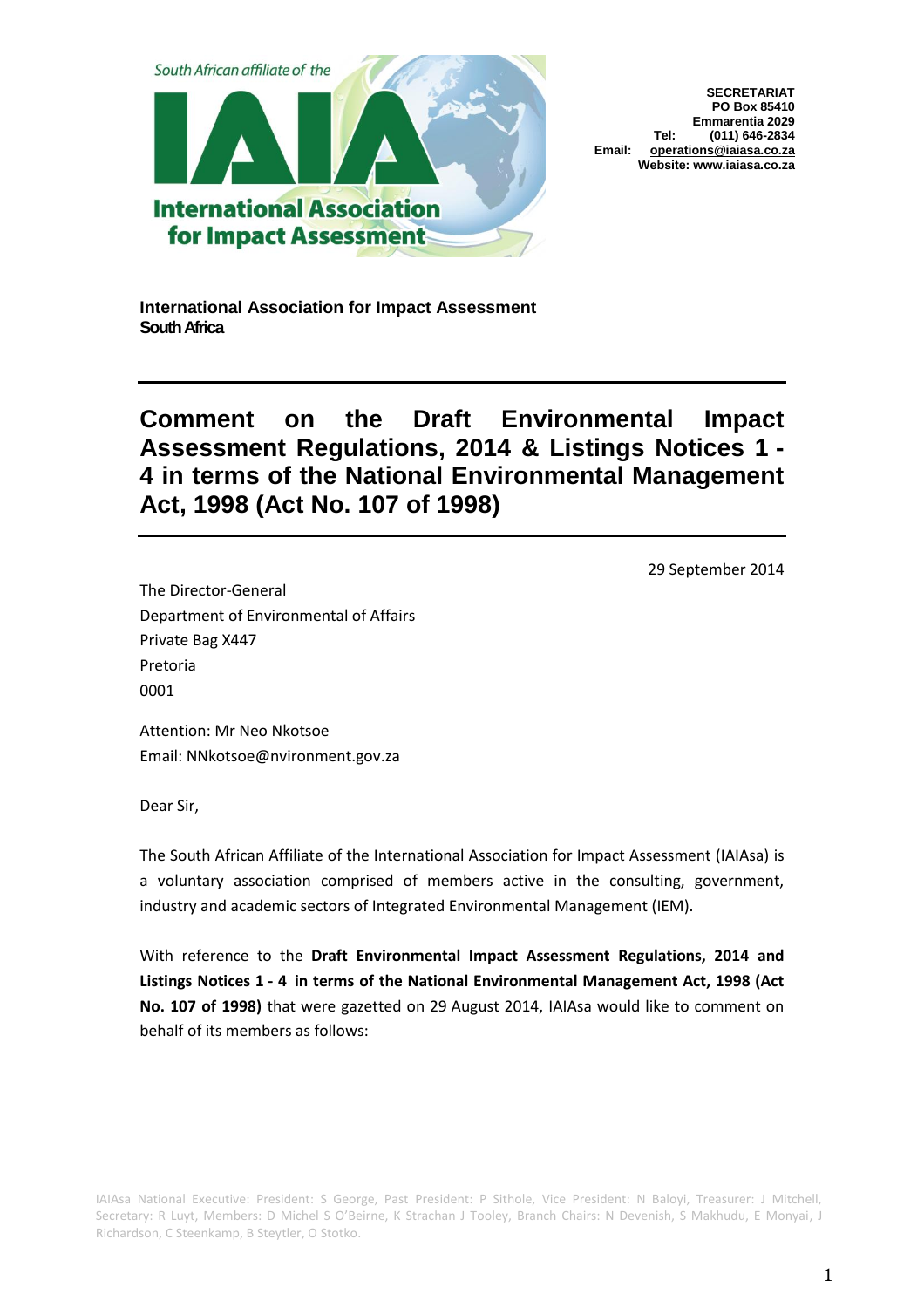

**International Association for Impact Assessment South Africa**

# **Comment on the Draft Environmental Impact Assessment Regulations, 2014 & Listings Notices 1 - 4 in terms of the National Environmental Management Act, 1998 (Act No. 107 of 1998)**

29 September 2014

The Director-General Department of Environmental of Affairs Private Bag X447 Pretoria 0001

Attention: Mr Neo Nkotsoe Email: NNkotsoe@nvironment.gov.za

Dear Sir,

The South African Affiliate of the International Association for Impact Assessment (IAIAsa) is a voluntary association comprised of members active in the consulting, government, industry and academic sectors of Integrated Environmental Management (IEM).

With reference to the **Draft Environmental Impact Assessment Regulations, 2014 and Listings Notices 1 - 4 in terms of the National Environmental Management Act, 1998 (Act No. 107 of 1998)** that were gazetted on 29 August 2014, IAIAsa would like to comment on behalf of its members as follows: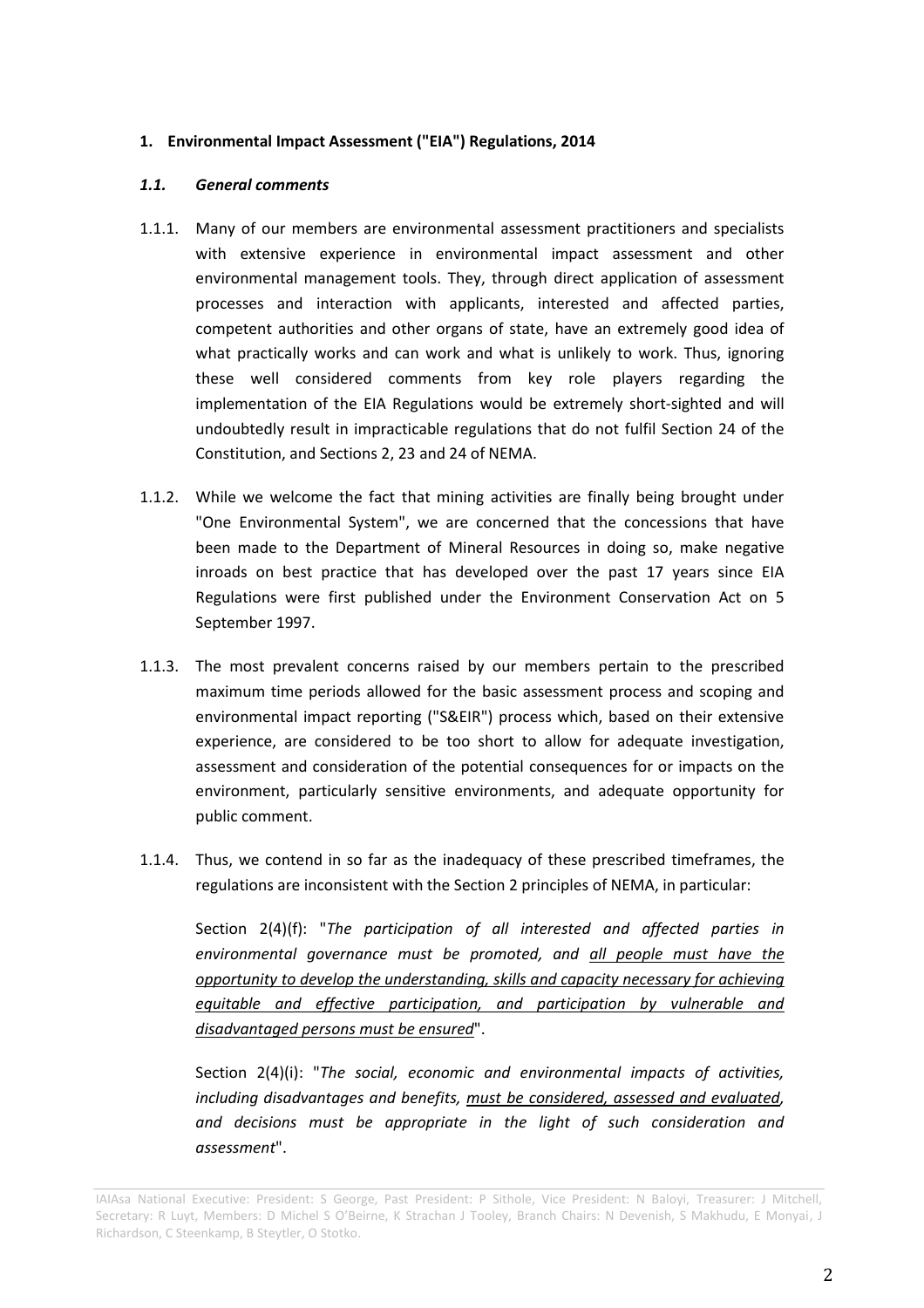#### **1. Environmental Impact Assessment ("EIA") Regulations, 2014**

#### *1.1. General comments*

- 1.1.1. Many of our members are environmental assessment practitioners and specialists with extensive experience in environmental impact assessment and other environmental management tools. They, through direct application of assessment processes and interaction with applicants, interested and affected parties, competent authorities and other organs of state, have an extremely good idea of what practically works and can work and what is unlikely to work. Thus, ignoring these well considered comments from key role players regarding the implementation of the EIA Regulations would be extremely short-sighted and will undoubtedly result in impracticable regulations that do not fulfil Section 24 of the Constitution, and Sections 2, 23 and 24 of NEMA.
- 1.1.2. While we welcome the fact that mining activities are finally being brought under "One Environmental System", we are concerned that the concessions that have been made to the Department of Mineral Resources in doing so, make negative inroads on best practice that has developed over the past 17 years since EIA Regulations were first published under the Environment Conservation Act on 5 September 1997.
- 1.1.3. The most prevalent concerns raised by our members pertain to the prescribed maximum time periods allowed for the basic assessment process and scoping and environmental impact reporting ("S&EIR") process which, based on their extensive experience, are considered to be too short to allow for adequate investigation, assessment and consideration of the potential consequences for or impacts on the environment, particularly sensitive environments, and adequate opportunity for public comment.
- 1.1.4. Thus, we contend in so far as the inadequacy of these prescribed timeframes, the regulations are inconsistent with the Section 2 principles of NEMA, in particular:

Section 2(4)(f): "*The participation of all interested and affected parties in environmental governance must be promoted, and all people must have the opportunity to develop the understanding, skills and capacity necessary for achieving equitable and effective participation, and participation by vulnerable and disadvantaged persons must be ensured*".

Section 2(4)(i): "*The social, economic and environmental impacts of activities, including disadvantages and benefits, must be considered, assessed and evaluated, and decisions must be appropriate in the light of such consideration and assessment*".

IAIAsa National Executive: President: S George, Past President: P Sithole, Vice President: N Baloyi, Treasurer: J Mitchell, Secretary: R Luyt, Members: D Michel S O'Beirne, K Strachan J Tooley, Branch Chairs: N Devenish, S Makhudu, E Monyai, J Richardson, C Steenkamp, B Steytler, O Stotko.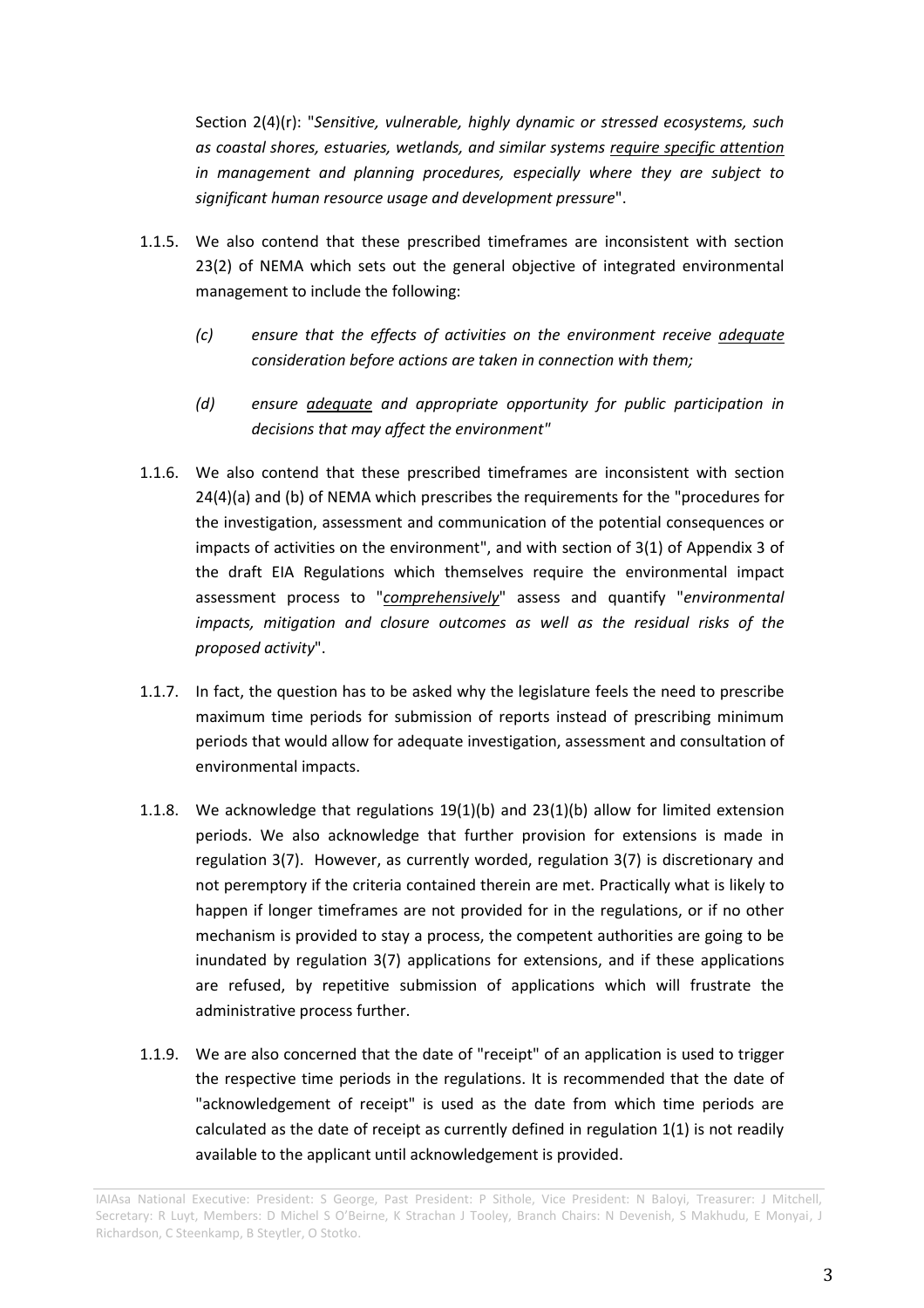Section 2(4)(r): "*Sensitive, vulnerable, highly dynamic or stressed ecosystems, such as coastal shores, estuaries, wetlands, and similar systems require specific attention in management and planning procedures, especially where they are subject to significant human resource usage and development pressure*".

- 1.1.5. We also contend that these prescribed timeframes are inconsistent with section 23(2) of NEMA which sets out the general objective of integrated environmental management to include the following:
	- *(c) ensure that the effects of activities on the environment receive adequate consideration before actions are taken in connection with them;*
	- *(d) ensure adequate and appropriate opportunity for public participation in decisions that may affect the environment"*
- 1.1.6. We also contend that these prescribed timeframes are inconsistent with section 24(4)(a) and (b) of NEMA which prescribes the requirements for the "procedures for the investigation, assessment and communication of the potential consequences or impacts of activities on the environment", and with section of 3(1) of Appendix 3 of the draft EIA Regulations which themselves require the environmental impact assessment process to "*comprehensively*" assess and quantify "*environmental impacts, mitigation and closure outcomes as well as the residual risks of the proposed activity*".
- 1.1.7. In fact, the question has to be asked why the legislature feels the need to prescribe maximum time periods for submission of reports instead of prescribing minimum periods that would allow for adequate investigation, assessment and consultation of environmental impacts.
- 1.1.8. We acknowledge that regulations 19(1)(b) and 23(1)(b) allow for limited extension periods. We also acknowledge that further provision for extensions is made in regulation 3(7). However, as currently worded, regulation 3(7) is discretionary and not peremptory if the criteria contained therein are met. Practically what is likely to happen if longer timeframes are not provided for in the regulations, or if no other mechanism is provided to stay a process, the competent authorities are going to be inundated by regulation 3(7) applications for extensions, and if these applications are refused, by repetitive submission of applications which will frustrate the administrative process further.
- 1.1.9. We are also concerned that the date of "receipt" of an application is used to trigger the respective time periods in the regulations. It is recommended that the date of "acknowledgement of receipt" is used as the date from which time periods are calculated as the date of receipt as currently defined in regulation 1(1) is not readily available to the applicant until acknowledgement is provided.

IAIAsa National Executive: President: S George, Past President: P Sithole, Vice President: N Baloyi, Treasurer: J Mitchell, Secretary: R Luyt, Members: D Michel S O'Beirne, K Strachan J Tooley, Branch Chairs: N Devenish, S Makhudu, E Monyai, J Richardson, C Steenkamp, B Steytler, O Stotko.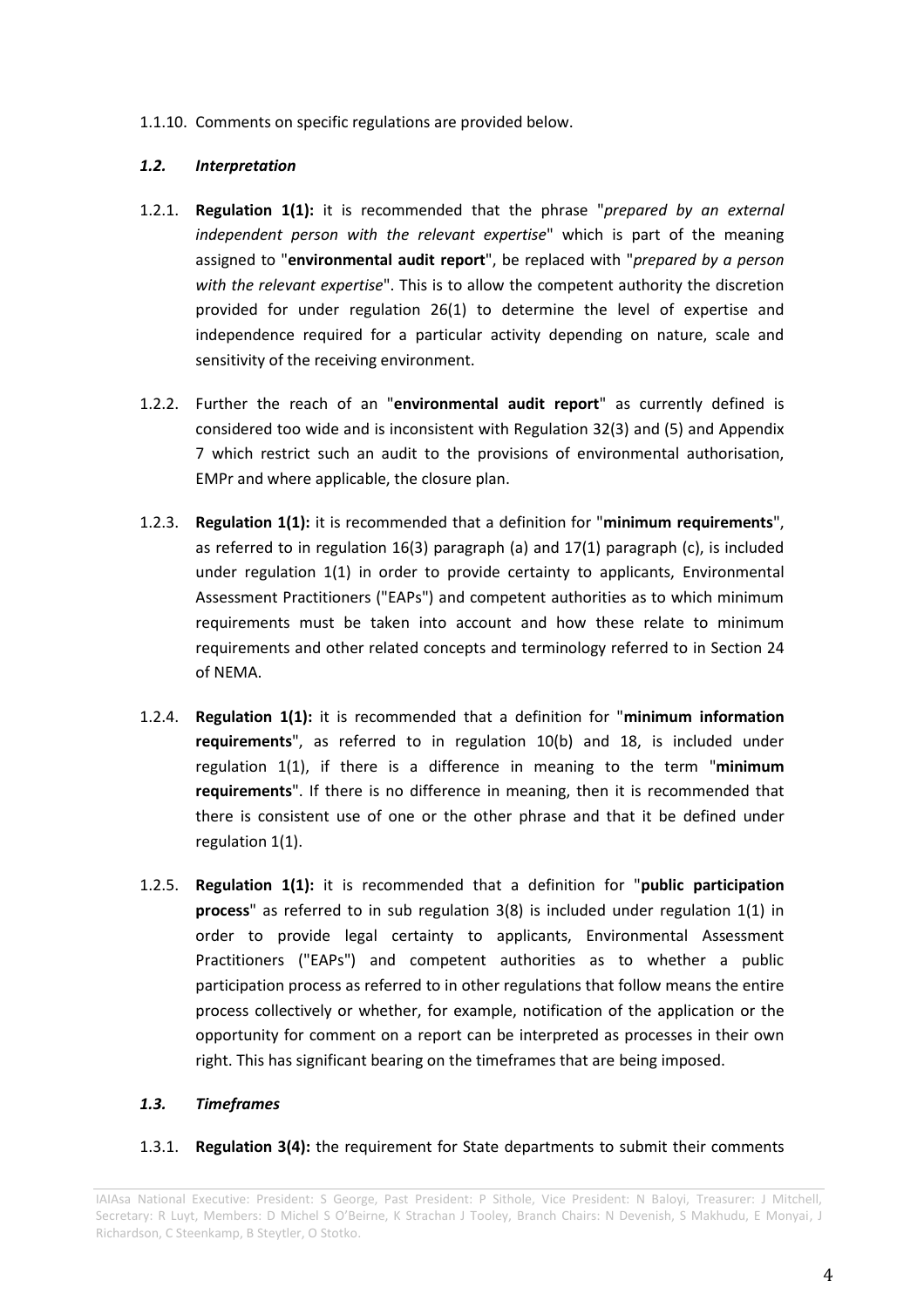1.1.10. Comments on specific regulations are provided below.

# *1.2. Interpretation*

- 1.2.1. **Regulation 1(1):** it is recommended that the phrase "*prepared by an external independent person with the relevant expertise*" which is part of the meaning assigned to "**environmental audit report**", be replaced with "*prepared by a person with the relevant expertise*". This is to allow the competent authority the discretion provided for under regulation 26(1) to determine the level of expertise and independence required for a particular activity depending on nature, scale and sensitivity of the receiving environment.
- 1.2.2. Further the reach of an "**environmental audit report**" as currently defined is considered too wide and is inconsistent with Regulation 32(3) and (5) and Appendix 7 which restrict such an audit to the provisions of environmental authorisation, EMPr and where applicable, the closure plan.
- 1.2.3. **Regulation 1(1):** it is recommended that a definition for "**minimum requirements**", as referred to in regulation 16(3) paragraph (a) and 17(1) paragraph (c), is included under regulation 1(1) in order to provide certainty to applicants, Environmental Assessment Practitioners ("EAPs") and competent authorities as to which minimum requirements must be taken into account and how these relate to minimum requirements and other related concepts and terminology referred to in Section 24 of NEMA.
- 1.2.4. **Regulation 1(1):** it is recommended that a definition for "**minimum information requirements**", as referred to in regulation 10(b) and 18, is included under regulation 1(1), if there is a difference in meaning to the term "**minimum requirements**". If there is no difference in meaning, then it is recommended that there is consistent use of one or the other phrase and that it be defined under regulation 1(1).
- 1.2.5. **Regulation 1(1):** it is recommended that a definition for "**public participation process**" as referred to in sub regulation 3(8) is included under regulation 1(1) in order to provide legal certainty to applicants, Environmental Assessment Practitioners ("EAPs") and competent authorities as to whether a public participation process as referred to in other regulations that follow means the entire process collectively or whether, for example, notification of the application or the opportunity for comment on a report can be interpreted as processes in their own right. This has significant bearing on the timeframes that are being imposed.

# *1.3. Timeframes*

1.3.1. **Regulation 3(4):** the requirement for State departments to submit their comments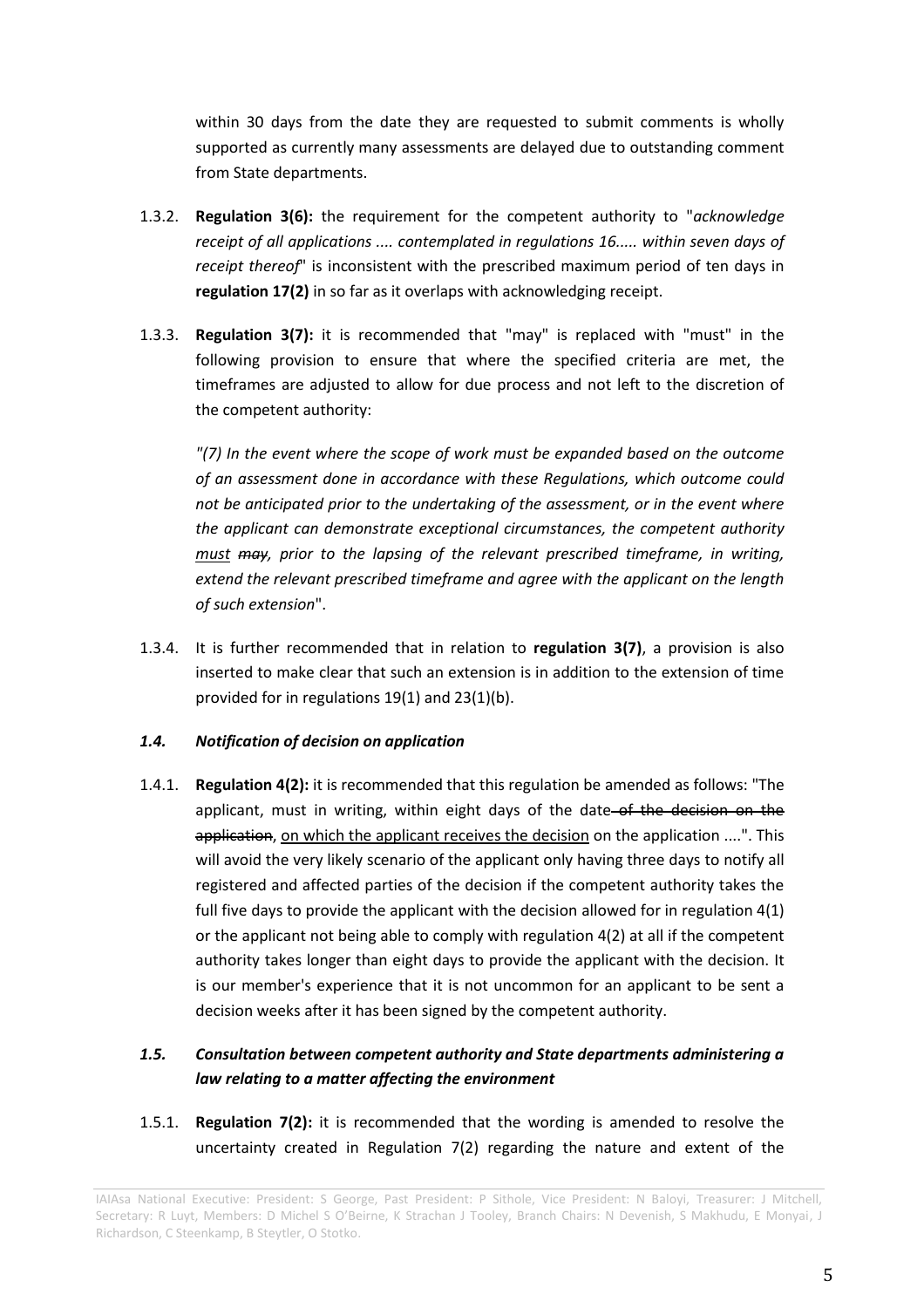within 30 days from the date they are requested to submit comments is wholly supported as currently many assessments are delayed due to outstanding comment from State departments.

- 1.3.2. **Regulation 3(6):** the requirement for the competent authority to "*acknowledge receipt of all applications .... contemplated in regulations 16..... within seven days of receipt thereof*" is inconsistent with the prescribed maximum period of ten days in **regulation 17(2)** in so far as it overlaps with acknowledging receipt.
- 1.3.3. **Regulation 3(7):** it is recommended that "may" is replaced with "must" in the following provision to ensure that where the specified criteria are met, the timeframes are adjusted to allow for due process and not left to the discretion of the competent authority:

*"(7) In the event where the scope of work must be expanded based on the outcome of an assessment done in accordance with these Regulations, which outcome could not be anticipated prior to the undertaking of the assessment, or in the event where the applicant can demonstrate exceptional circumstances, the competent authority must may, prior to the lapsing of the relevant prescribed timeframe, in writing, extend the relevant prescribed timeframe and agree with the applicant on the length of such extension*".

1.3.4. It is further recommended that in relation to **regulation 3(7)**, a provision is also inserted to make clear that such an extension is in addition to the extension of time provided for in regulations 19(1) and 23(1)(b).

# *1.4. Notification of decision on application*

1.4.1. **Regulation 4(2):** it is recommended that this regulation be amended as follows: "The applicant, must in writing, within eight days of the date-of the decision on the application, on which the applicant receives the decision on the application ....". This will avoid the very likely scenario of the applicant only having three days to notify all registered and affected parties of the decision if the competent authority takes the full five days to provide the applicant with the decision allowed for in regulation 4(1) or the applicant not being able to comply with regulation 4(2) at all if the competent authority takes longer than eight days to provide the applicant with the decision. It is our member's experience that it is not uncommon for an applicant to be sent a decision weeks after it has been signed by the competent authority.

# *1.5. Consultation between competent authority and State departments administering a law relating to a matter affecting the environment*

1.5.1. **Regulation 7(2):** it is recommended that the wording is amended to resolve the uncertainty created in Regulation 7(2) regarding the nature and extent of the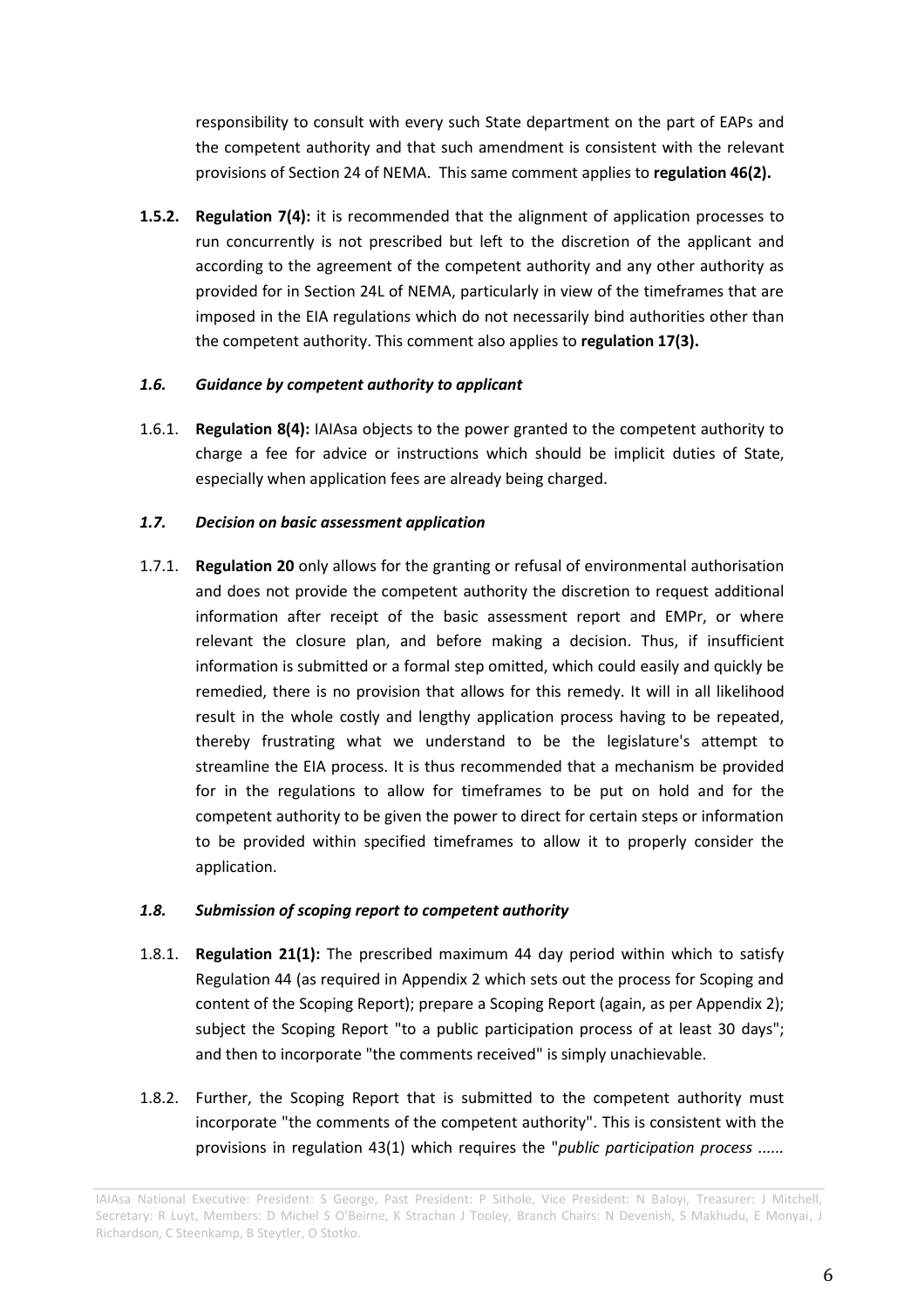responsibility to consult with every such State department on the part of EAPs and the competent authority and that such amendment is consistent with the relevant provisions of Section 24 of NEMA. This same comment applies to **regulation 46(2).**

**1.5.2. Regulation 7(4):** it is recommended that the alignment of application processes to run concurrently is not prescribed but left to the discretion of the applicant and according to the agreement of the competent authority and any other authority as provided for in Section 24L of NEMA, particularly in view of the timeframes that are imposed in the EIA regulations which do not necessarily bind authorities other than the competent authority. This comment also applies to **regulation 17(3).** 

#### *1.6. Guidance by competent authority to applicant*

1.6.1. **Regulation 8(4):** IAIAsa objects to the power granted to the competent authority to charge a fee for advice or instructions which should be implicit duties of State, especially when application fees are already being charged.

#### *1.7. Decision on basic assessment application*

1.7.1. **Regulation 20** only allows for the granting or refusal of environmental authorisation and does not provide the competent authority the discretion to request additional information after receipt of the basic assessment report and EMPr, or where relevant the closure plan, and before making a decision. Thus, if insufficient information is submitted or a formal step omitted, which could easily and quickly be remedied, there is no provision that allows for this remedy. It will in all likelihood result in the whole costly and lengthy application process having to be repeated, thereby frustrating what we understand to be the legislature's attempt to streamline the EIA process. It is thus recommended that a mechanism be provided for in the regulations to allow for timeframes to be put on hold and for the competent authority to be given the power to direct for certain steps or information to be provided within specified timeframes to allow it to properly consider the application.

# *1.8. Submission of scoping report to competent authority*

- 1.8.1. **Regulation 21(1):** The prescribed maximum 44 day period within which to satisfy Regulation 44 (as required in Appendix 2 which sets out the process for Scoping and content of the Scoping Report); prepare a Scoping Report (again, as per Appendix 2); subject the Scoping Report "to a public participation process of at least 30 days"; and then to incorporate "the comments received" is simply unachievable.
- 1.8.2. Further, the Scoping Report that is submitted to the competent authority must incorporate "the comments of the competent authority". This is consistent with the provisions in regulation 43(1) which requires the "*public participation process ......*

IAIAsa National Executive: President: S George, Past President: P Sithole, Vice President: N Baloyi, Treasurer: J Mitchell, Secretary: R Luyt, Members: D Michel S O'Beirne, K Strachan J Tooley, Branch Chairs: N Devenish, S Makhudu, E Monyai, J Richardson, C Steenkamp, B Steytler, O Stotko.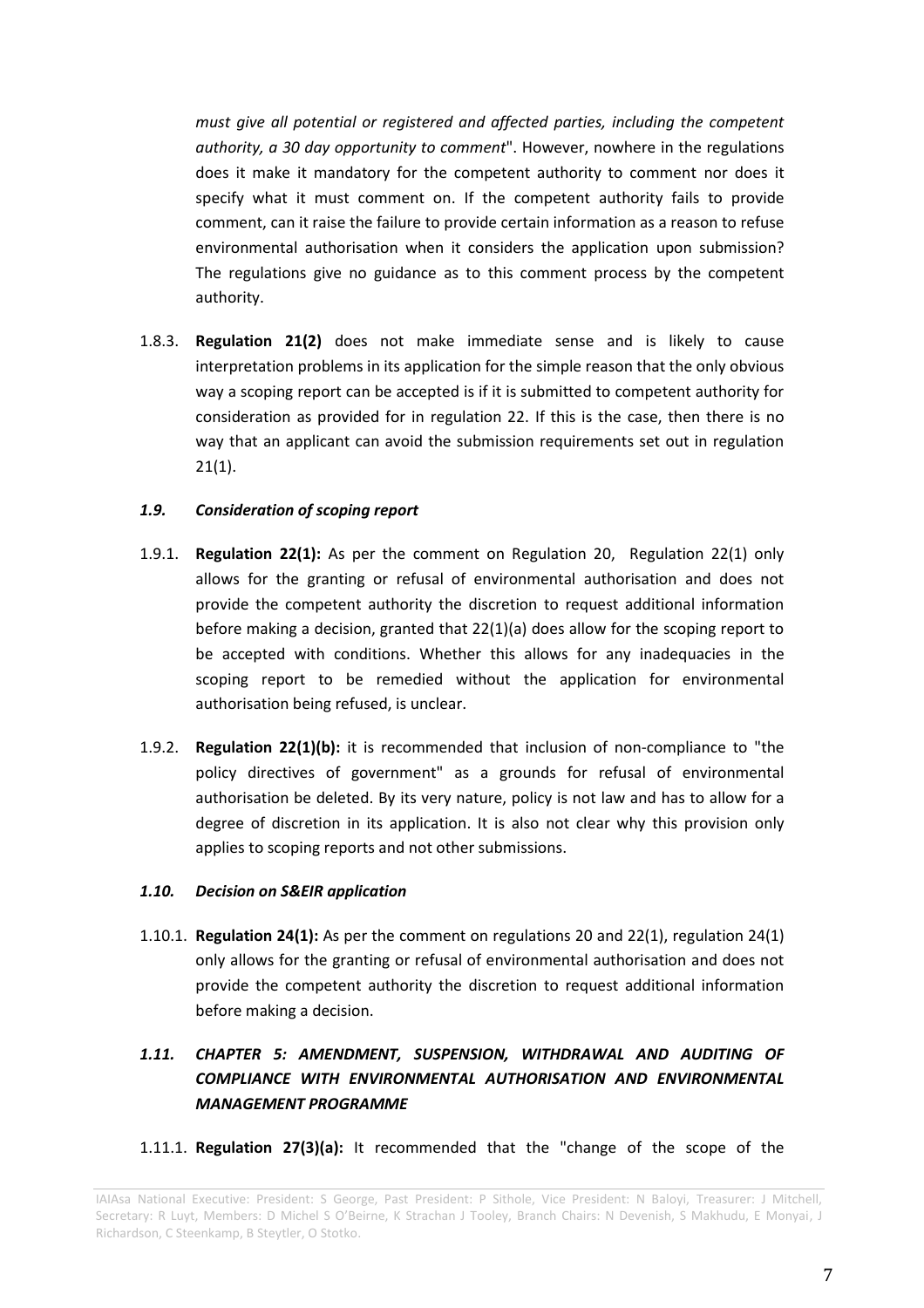*must give all potential or registered and affected parties, including the competent authority, a 30 day opportunity to comment*". However, nowhere in the regulations does it make it mandatory for the competent authority to comment nor does it specify what it must comment on. If the competent authority fails to provide comment, can it raise the failure to provide certain information as a reason to refuse environmental authorisation when it considers the application upon submission? The regulations give no guidance as to this comment process by the competent authority.

1.8.3. **Regulation 21(2)** does not make immediate sense and is likely to cause interpretation problems in its application for the simple reason that the only obvious way a scoping report can be accepted is if it is submitted to competent authority for consideration as provided for in regulation 22. If this is the case, then there is no way that an applicant can avoid the submission requirements set out in regulation  $21(1)$ .

#### *1.9. Consideration of scoping report*

- 1.9.1. **Regulation 22(1):** As per the comment on Regulation 20, Regulation 22(1) only allows for the granting or refusal of environmental authorisation and does not provide the competent authority the discretion to request additional information before making a decision, granted that 22(1)(a) does allow for the scoping report to be accepted with conditions. Whether this allows for any inadequacies in the scoping report to be remedied without the application for environmental authorisation being refused, is unclear.
- 1.9.2. **Regulation 22(1)(b):** it is recommended that inclusion of non-compliance to "the policy directives of government" as a grounds for refusal of environmental authorisation be deleted. By its very nature, policy is not law and has to allow for a degree of discretion in its application. It is also not clear why this provision only applies to scoping reports and not other submissions.

#### *1.10. Decision on S&EIR application*

- 1.10.1. **Regulation 24(1):** As per the comment on regulations 20 and 22(1), regulation 24(1) only allows for the granting or refusal of environmental authorisation and does not provide the competent authority the discretion to request additional information before making a decision.
- *1.11. CHAPTER 5: AMENDMENT, SUSPENSION, WITHDRAWAL AND AUDITING OF COMPLIANCE WITH ENVIRONMENTAL AUTHORISATION AND ENVIRONMENTAL MANAGEMENT PROGRAMME*
- 1.11.1. **Regulation 27(3)(a):** It recommended that the "change of the scope of the

IAIAsa National Executive: President: S George, Past President: P Sithole, Vice President: N Baloyi, Treasurer: J Mitchell, Secretary: R Luyt, Members: D Michel S O'Beirne, K Strachan J Tooley, Branch Chairs: N Devenish, S Makhudu, E Monyai, J Richardson, C Steenkamp, B Steytler, O Stotko.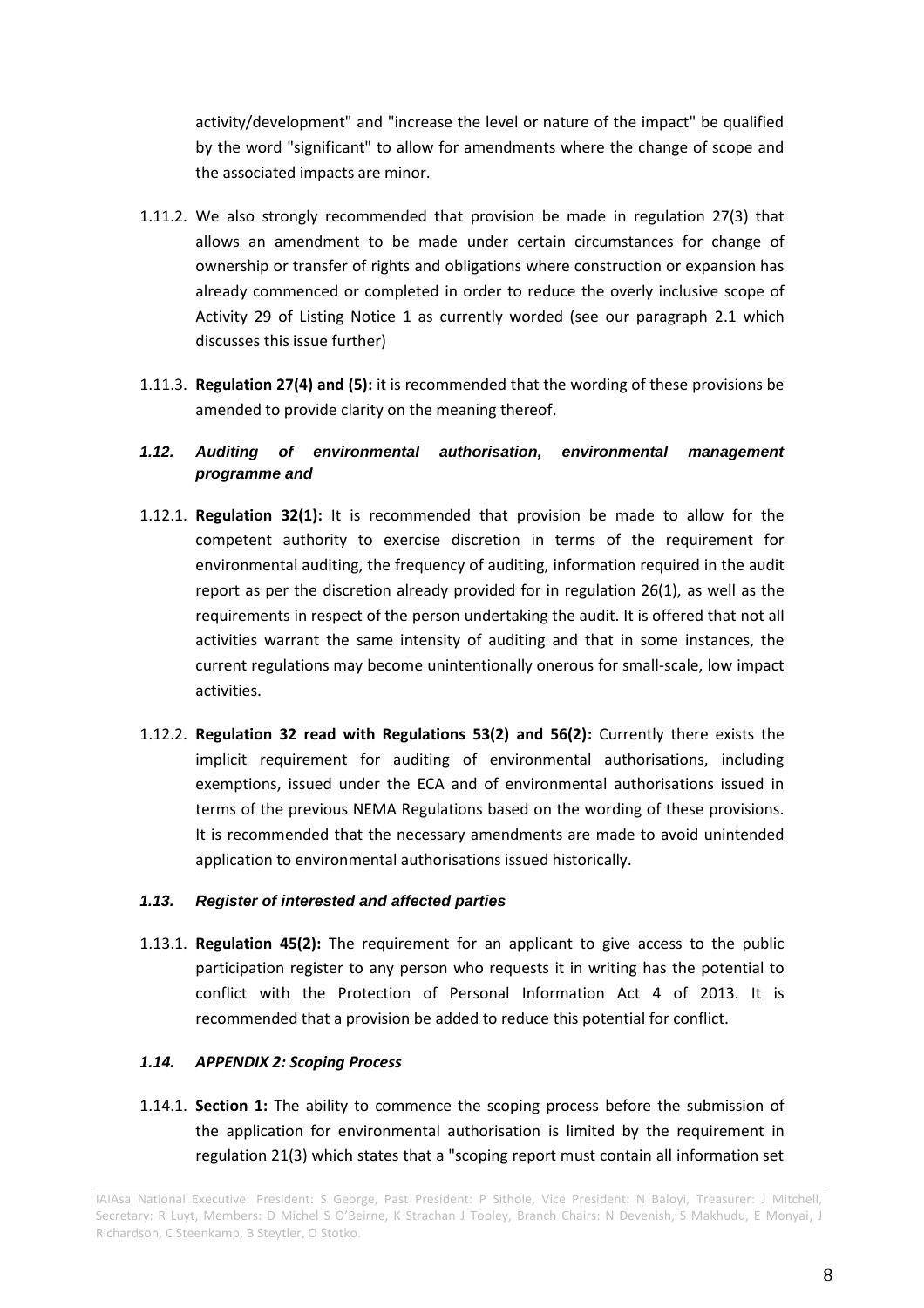activity/development" and "increase the level or nature of the impact" be qualified by the word "significant" to allow for amendments where the change of scope and the associated impacts are minor.

- <span id="page-7-0"></span>1.11.2. We also strongly recommended that provision be made in regulation 27(3) that allows an amendment to be made under certain circumstances for change of ownership or transfer of rights and obligations where construction or expansion has already commenced or completed in order to reduce the overly inclusive scope of Activity 29 of Listing Notice 1 as currently worded (see our paragraph [2.1](#page-8-0) which discusses this issue further)
- 1.11.3. **Regulation 27(4) and (5):** it is recommended that the wording of these provisions be amended to provide clarity on the meaning thereof.

# *1.12. Auditing of environmental authorisation, environmental management programme and*

- 1.12.1. **Regulation 32(1):** It is recommended that provision be made to allow for the competent authority to exercise discretion in terms of the requirement for environmental auditing, the frequency of auditing, information required in the audit report as per the discretion already provided for in regulation 26(1), as well as the requirements in respect of the person undertaking the audit. It is offered that not all activities warrant the same intensity of auditing and that in some instances, the current regulations may become unintentionally onerous for small-scale, low impact activities.
- 1.12.2. **Regulation 32 read with Regulations 53(2) and 56(2):** Currently there exists the implicit requirement for auditing of environmental authorisations, including exemptions, issued under the ECA and of environmental authorisations issued in terms of the previous NEMA Regulations based on the wording of these provisions. It is recommended that the necessary amendments are made to avoid unintended application to environmental authorisations issued historically.

#### *1.13. Register of interested and affected parties*

1.13.1. **Regulation 45(2):** The requirement for an applicant to give access to the public participation register to any person who requests it in writing has the potential to conflict with the Protection of Personal Information Act 4 of 2013. It is recommended that a provision be added to reduce this potential for conflict.

# *1.14. APPENDIX 2: Scoping Process*

1.14.1. **Section 1:** The ability to commence the scoping process before the submission of the application for environmental authorisation is limited by the requirement in regulation 21(3) which states that a "scoping report must contain all information set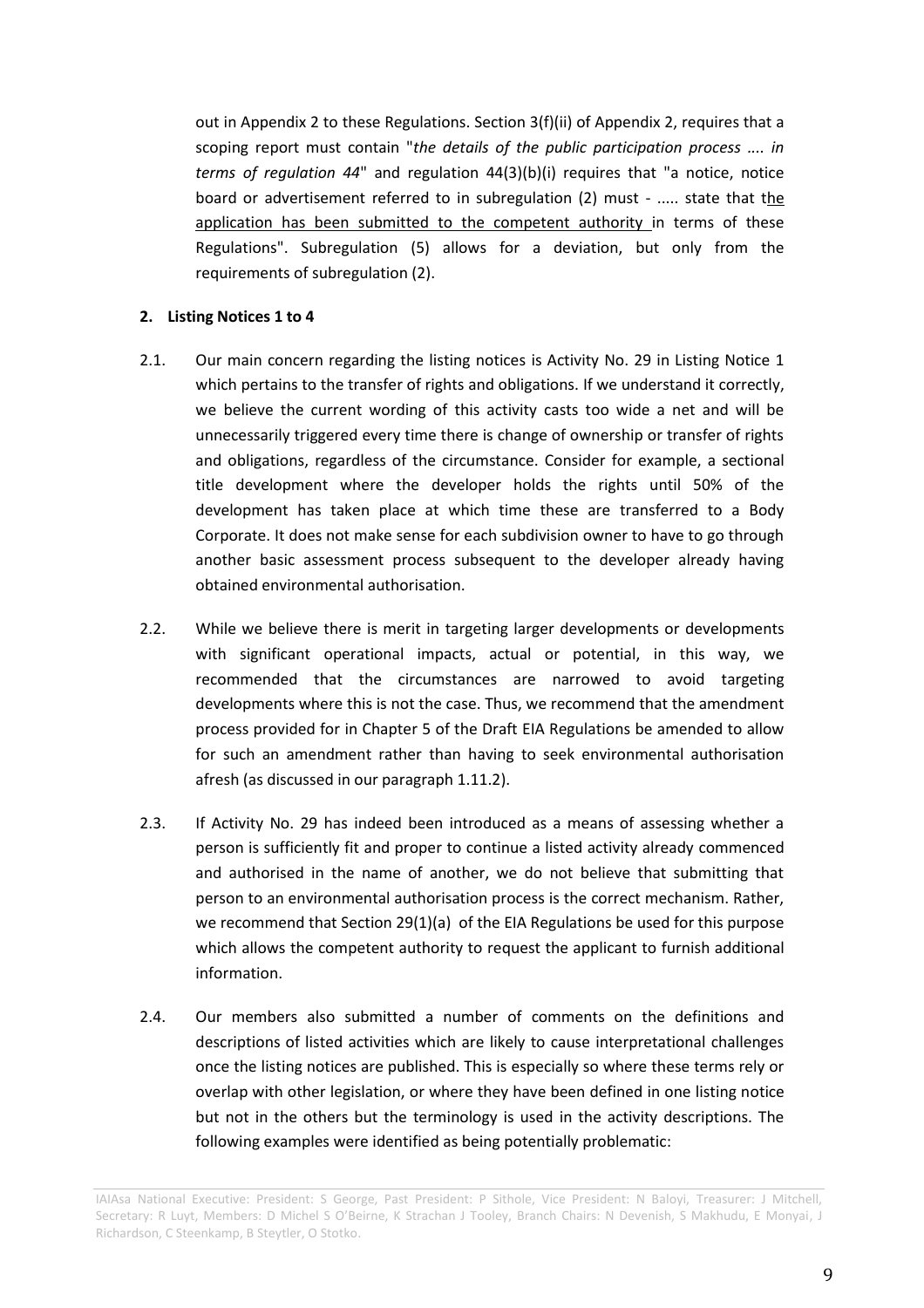out in Appendix 2 to these Regulations. Section 3(f)(ii) of Appendix 2, requires that a scoping report must contain "*the details of the public participation process .... in terms of regulation 44*" and regulation 44(3)(b)(i) requires that "a notice, notice board or advertisement referred to in subregulation (2) must - ..... state that the application has been submitted to the competent authority in terms of these Regulations". Subregulation (5) allows for a deviation, but only from the requirements of subregulation (2).

#### **2. Listing Notices 1 to 4**

- <span id="page-8-0"></span>2.1. Our main concern regarding the listing notices is Activity No. 29 in Listing Notice 1 which pertains to the transfer of rights and obligations. If we understand it correctly, we believe the current wording of this activity casts too wide a net and will be unnecessarily triggered every time there is change of ownership or transfer of rights and obligations, regardless of the circumstance. Consider for example, a sectional title development where the developer holds the rights until 50% of the development has taken place at which time these are transferred to a Body Corporate. It does not make sense for each subdivision owner to have to go through another basic assessment process subsequent to the developer already having obtained environmental authorisation.
- 2.2. While we believe there is merit in targeting larger developments or developments with significant operational impacts, actual or potential, in this way, we recommended that the circumstances are narrowed to avoid targeting developments where this is not the case. Thus, we recommend that the amendment process provided for in Chapter 5 of the Draft EIA Regulations be amended to allow for such an amendment rather than having to seek environmental authorisation afresh (as discussed in our paragrap[h 1.11.2\)](#page-7-0).
- 2.3. If Activity No. 29 has indeed been introduced as a means of assessing whether a person is sufficiently fit and proper to continue a listed activity already commenced and authorised in the name of another, we do not believe that submitting that person to an environmental authorisation process is the correct mechanism. Rather, we recommend that Section 29(1)(a) of the EIA Regulations be used for this purpose which allows the competent authority to request the applicant to furnish additional information.
- 2.4. Our members also submitted a number of comments on the definitions and descriptions of listed activities which are likely to cause interpretational challenges once the listing notices are published. This is especially so where these terms rely or overlap with other legislation, or where they have been defined in one listing notice but not in the others but the terminology is used in the activity descriptions. The following examples were identified as being potentially problematic:

IAIAsa National Executive: President: S George, Past President: P Sithole, Vice President: N Baloyi, Treasurer: J Mitchell, Secretary: R Luyt, Members: D Michel S O'Beirne, K Strachan J Tooley, Branch Chairs: N Devenish, S Makhudu, E Monyai, J Richardson, C Steenkamp, B Steytler, O Stotko.